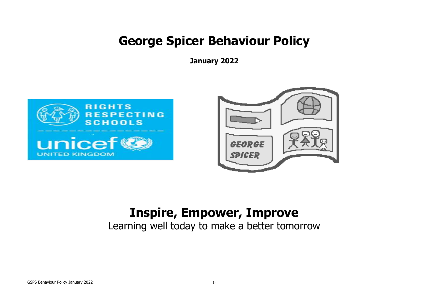# **George Spicer Behaviour Policy**

**January 2022**





# **Inspire, Empower, Improve**

Learning well today to make a better tomorrow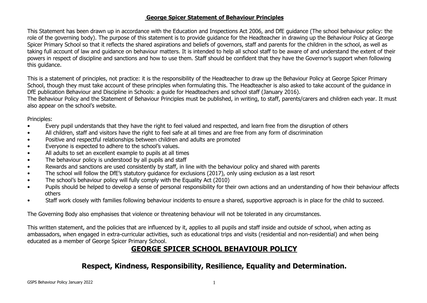#### **George Spicer Statement of Behaviour Principles**

This Statement has been drawn up in accordance with the Education and Inspections Act 2006, and DfE guidance (The school behaviour policy: the role of the governing body). The purpose of this statement is to provide guidance for the Headteacher in drawing up the Behaviour Policy at George Spicer Primary School so that it reflects the shared aspirations and beliefs of governors, staff and parents for the children in the school, as well as taking full account of law and guidance on behaviour matters. It is intended to help all school staff to be aware of and understand the extent of their powers in respect of discipline and sanctions and how to use them. Staff should be confident that they have the Governor's support when following this guidance.

This is a statement of principles, not practice: it is the responsibility of the Headteacher to draw up the Behaviour Policy at George Spicer Primary School, though they must take account of these principles when formulating this. The Headteacher is also asked to take account of the guidance in DfE publication Behaviour and Discipline in Schools: a guide for Headteachers and school staff (January 2016).

The Behaviour Policy and the Statement of Behaviour Principles must be published, in writing, to staff, parents/carers and children each year. It must also appear on the school's website.

Principles:

- Every pupil understands that they have the right to feel valued and respected, and learn free from the disruption of others
- All children, staff and visitors have the right to feel safe at all times and are free from any form of discrimination
- Positive and respectful relationships between children and adults are promoted
- Everyone is expected to adhere to the school's values.
- All adults to set an excellent example to pupils at all times
- The behaviour policy is understood by all pupils and staff
- Rewards and sanctions are used consistently by staff, in line with the behaviour policy and shared with parents
- The school will follow the DfE's statutory guidance for exclusions (2017), only using exclusion as a last resort
- The school's behaviour policy will fully comply with the Equality Act (2010)
- Pupils should be helped to develop a sense of personal responsibility for their own actions and an understanding of how their behaviour affects others
- Staff work closely with families following behaviour incidents to ensure a shared, supportive approach is in place for the child to succeed.

The Governing Body also emphasises that violence or threatening behaviour will not be tolerated in any circumstances.

This written statement, and the policies that are influenced by it, applies to all pupils and staff inside and outside of school, when acting as ambassadors, when engaged in extra-curricular activities, such as educational trips and visits (residential and non-residential) and when being educated as a member of George Spicer Primary School.

### **GEORGE SPICER SCHOOL BEHAVIOUR POLICY**

### **Respect, Kindness, Responsibility, Resilience, Equality and Determination.**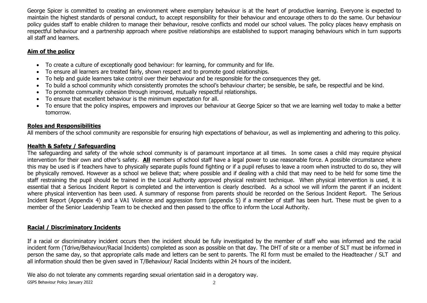George Spicer is committed to creating an environment where exemplary behaviour is at the heart of productive learning. Everyone is expected to maintain the highest standards of personal conduct, to accept responsibility for their behaviour and encourage others to do the same. Our behaviour policy guides staff to enable children to manage their behaviour, resolve conflicts and model our school values. The policy places heavy emphasis on respectful behaviour and a partnership approach where positive relationships are established to support managing behaviours which in turn supports all staff and learners.

#### **Aim of the policy**

- To create a culture of exceptionally good behaviour: for learning, for community and for life.
- To ensure all learners are treated fairly, shown respect and to promote good relationships.
- To help and guide learners take control over their behaviour and be responsible for the consequences they get.
- To build a school community which consistently promotes the school's behaviour charter; be sensible, be safe, be respectful and be kind.
- To promote community cohesion through improved, mutually respectful relationships.
- To ensure that excellent behaviour is the minimum expectation for all.
- To ensure that the policy inspires, empowers and improves our behaviour at George Spicer so that we are learning well today to make a better tomorrow.

#### **Roles and Responsibilities**

All members of the school community are responsible for ensuring high expectations of behaviour, as well as implementing and adhering to this policy.

#### **Health & Safety / Safeguarding**

The safeguarding and safety of the whole school community is of paramount importance at all times. In some cases a child may require physical intervention for their own and other's safety. **All** members of school staff have a legal power to use reasonable force. A possible circumstance where this may be used is if teachers have to physically separate pupils found fighting or if a pupil refuses to leave a room when instructed to do so, they will be physically removed. However as a school we believe that; where possible and if dealing with a child that may need to be held for some time the staff restraining the pupil should be trained in the Local Authority approved physical restraint technique. When physical intervention is used, it is essential that a Serious Incident Report is completed and the intervention is clearly described. As a school we will inform the parent if an incident where physical intervention has been used. A summary of response from parents should be recorded on the Serious Incident Report. The Serious Incident Report (Appendix 4) and a VA1 Violence and aggression form (appendix 5) if a member of staff has been hurt. These must be given to a member of the Senior Leadership Team to be checked and then passed to the office to inform the Local Authority.

### **Racial / Discriminatory Incidents**

If a racial or discriminatory incident occurs then the incident should be fully investigated by the member of staff who was informed and the racial incident form (Tdrive/Behaviour/Racial Incidents) completed as soon as possible on that day. The DHT of site or a member of SLT must be informed in person the same day, so that appropriate calls made and letters can be sent to parents. The RI form must be emailed to the Headteacher / SLT and all information should then be given saved in T/Behaviour/ Racial Incidents within 24 hours of the incident.

We also do not tolerate any comments regarding sexual orientation said in a derogatory way.

GSPS Behaviour Policy January 2022 2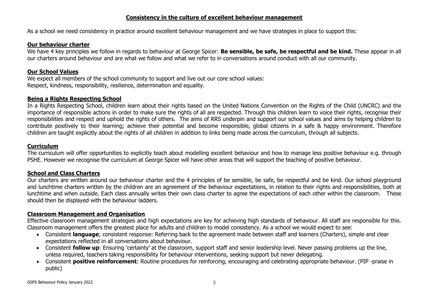#### **Consistency in the culture of excellent behaviour management**

As a school we need consistency in practice around excellent behaviour management and we have strategies in place to support this:

#### **Our behaviour charter**

We have 4 key principles we follow in regards to behaviour at George Spicer: **Be sensible, be safe, be respectful and be kind.** These appear in all our charters around behaviour and are what we follow and what we refer to in conversations around conduct with all our community.

#### **Our School Values**

We expect all members of the school community to support and live out our core school values: Respect, kindness, responsibility, resilience, determination and equality.

#### **Being a Rights Respecting School**

In a Rights Respecting School, children learn about their rights based on the United Nations Convention on the Rights of the Child (UNCRC) and the importance of responsible actions in order to make sure the rights of all are respected. Through this children learn to voice their rights, recognise their responsibilities and respect and uphold the rights of others. The aims of RRS underpin and support our school values and aims by helping children to contribute positively to their learning; achieve their potential and become responsible, global citizens in a safe & happy environment. Therefore children are taught explicitly about the rights of all children in addition to links being made across the curriculum, through all subjects.

#### **Curriculum**

The curriculum will offer opportunities to explicitly teach about modelling excellent behaviour and how to manage less positive behaviour e.g. through PSHE. However we recognise the curriculum at George Spicer will have other areas that will support the teaching of positive behaviour.

#### **School and Class Charters**

Our charters are written around our behaviour charter and the 4 principles of be sensible, be safe, be respectful and be kind. Our school playground and lunchtime charters written by the children are an agreement of the behaviour expectations, in relation to their rights and responsibilities, both at lunchtime and when outside. Each class annually writes their own class charter to agree the expectations of each other within the classroom. These should then be displayed with the behaviour ladders.

#### **Classroom Management and Organisation**

Effective classroom management strategies and high expectations are key for achieving high standards of behaviour. All staff are responsible for this. Classroom management offers the greatest place for adults and children to model consistency. As a school we would expect to see:

- Consistent **language**; consistent response: Referring back to the agreement made between staff and learners (Charters), simple and clear expectations reflected in all conversations about behaviour.
- Consistent **follow up**: Ensuring 'certainty' at the classroom, support staff and senior leadership level. Never passing problems up the line, unless required, teachers taking responsibility for behaviour interventions, seeking support but never delegating.
- Consistent **positive reinforcement**: Routine procedures for reinforcing, encouraging and celebrating appropriate behaviour. (PIP -praise in public)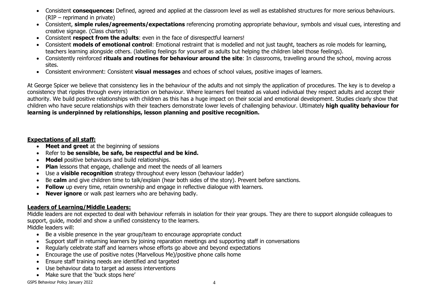- Consistent **consequences:** Defined, agreed and applied at the classroom level as well as established structures for more serious behaviours. (RIP – reprimand in private)
- Consistent, **simple rules/agreements/expectations** referencing promoting appropriate behaviour, symbols and visual cues, interesting and creative signage. (Class charters)
- Consistent **respect from the adults**: even in the face of disrespectful learners!
- Consistent **models of emotional control**: Emotional restraint that is modelled and not just taught, teachers as role models for learning, teachers learning alongside others. (labelling feelings for yourself as adults but helping the children label those feelings).
- Consistently reinforced **rituals and routines for behaviour around the site**: In classrooms, travelling around the school, moving across sites.
- Consistent environment: Consistent **visual messages** and echoes of school values, positive images of learners.

At George Spicer we believe that consistency lies in the behaviour of the adults and not simply the application of procedures. The key is to develop a consistency that ripples through every interaction on behaviour. Where learners feel treated as valued individual they respect adults and accept their authority. We build positive relationships with children as this has a huge impact on their social and emotional development. Studies clearly show that children who have secure relationships with their teachers demonstrate lower levels of challenging behaviour. Ultimately **high quality behaviour for learning is underpinned by relationships, lesson planning and positive recognition.**

#### **Expectations of all staff:**

- **Meet and greet** at the beginning of sessions
- Refer to **be sensible, be safe, be respectful and be kind.**
- **Model** positive behaviours and build relationships.
- **Plan** lessons that engage, challenge and meet the needs of all learners
- Use a **visible recognition** strategy throughout every lesson (behaviour ladder)
- Be **calm** and give children time to talk/explain (hear both sides of the story). Prevent before sanctions.
- **Follow** up every time, retain ownership and engage in reflective dialogue with learners.
- **Never ignore** or walk past learners who are behaving badly.

### **Leaders of Learning/Middle Leaders:**

Middle leaders are not expected to deal with behaviour referrals in isolation for their year groups. They are there to support alongside colleagues to support, guide, model and show a unified consistency to the learners.

Middle leaders will:

- Be a visible presence in the year group/team to encourage appropriate conduct
- Support staff in returning learners by joining reparation meetings and supporting staff in conversations
- Regularly celebrate staff and learners whose efforts go above and beyond expectations
- Encourage the use of positive notes (Marvellous Me)/positive phone calls home
- Ensure staff training needs are identified and targeted
- Use behaviour data to target ad assess interventions
- Make sure that the 'buck stops here'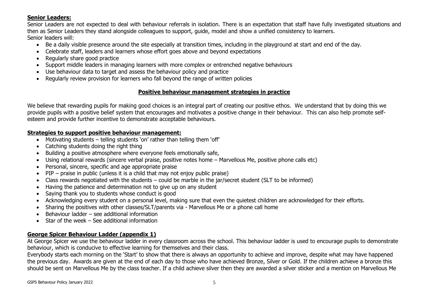#### **Senior Leaders:**

Senior Leaders are not expected to deal with behaviour referrals in isolation. There is an expectation that staff have fully investigated situations and then as Senior Leaders they stand alongside colleagues to support, guide, model and show a unified consistency to learners. Senior leaders will:

- Be a daily visible presence around the site especially at transition times, including in the playground at start and end of the day.
- Celebrate staff, leaders and learners whose effort goes above and beyond expectations
- Regularly share good practice
- Support middle leaders in managing learners with more complex or entrenched negative behaviours
- Use behaviour data to target and assess the behaviour policy and practice
- Regularly review provision for learners who fall beyond the range of written policies

#### **Positive behaviour management strategies in practice**

We believe that rewarding pupils for making good choices is an integral part of creating our positive ethos. We understand that by doing this we provide pupils with a positive belief system that encourages and motivates a positive change in their behaviour. This can also help promote selfesteem and provide further incentive to demonstrate acceptable behaviours.

#### **Strategies to support positive behaviour management:**

- Motivating students telling students 'on' rather than telling them 'off'
- Catching students doing the right thing
- Building a positive atmosphere where everyone feels emotionally safe,
- Using relational rewards (sincere verbal praise, positive notes home Marvellous Me, positive phone calls etc)
- Personal, sincere, specific and age appropriate praise
- $\bullet$  PIP praise in public (unless it is a child that may not enjoy public praise)
- Class rewards negotiated with the students could be marble in the jar/secret student (SLT to be informed)
- Having the patience and determination not to give up on any student
- Saying thank you to students whose conduct is good
- Acknowledging every student on a personal level, making sure that even the quietest children are acknowledged for their efforts.
- Sharing the positives with other classes/SLT/parents via Marvellous Me or a phone call home
- Behaviour ladder see additional information
- $\bullet$  Star of the week See additional information

#### **George Spicer Behaviour Ladder (appendix 1)**

At George Spicer we use the behaviour ladder in every classroom across the school. This behaviour ladder is used to encourage pupils to demonstrate behaviour, which is conducive to effective learning for themselves and their class.

Everybody starts each morning on the 'Start' to show that there is always an opportunity to achieve and improve, despite what may have happened the previous day. Awards are given at the end of each day to those who have achieved Bronze, Silver or Gold. If the children achieve a bronze this should be sent on Marvellous Me by the class teacher. If a child achieve silver then they are awarded a silver sticker and a mention on Marvellous Me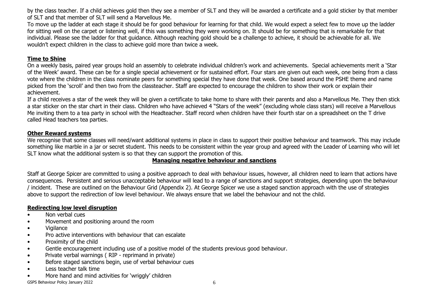by the class teacher. If a child achieves gold then they see a member of SLT and they will be awarded a certificate and a gold sticker by that member of SLT and that member of SLT will send a Marvellous Me.

To move up the ladder at each stage it should be for good behaviour for learning for that child. We would expect a select few to move up the ladder for sitting well on the carpet or listening well, if this was something they were working on. It should be for something that is remarkable for that individual. Please see the ladder for that guidance. Although reaching gold should be a challenge to achieve, it should be achievable for all. We wouldn't expect children in the class to achieve gold more than twice a week.

#### **Time to Shine**

On a weekly basis, paired year groups hold an assembly to celebrate individual children's work and achievements. Special achievements merit a 'Star of the Week' award. These can be for a single special achievement or for sustained effort. Four stars are given out each week, one being from a class vote where the children in the class nominate peers for something special they have done that week. One based around the PSHE theme and name picked from the 'scroll' and then two from the classteacher. Staff are expected to encourage the children to show their work or explain their achievement.

If a child receives a star of the week they will be given a certificate to take home to share with their parents and also a Marvellous Me. They then stick a star sticker on the star chart in their class. Children who have achieved 4 "Stars of the week" (excluding whole class stars) will receive a Marvellous Me inviting them to a tea party in school with the Headteacher. Staff record when children have their fourth star on a spreadsheet on the T drive called Head teachers tea parties.

#### **Other Reward systems**

We recognise that some classes will need/want additional systems in place in class to support their positive behaviour and teamwork. This may include something like marble in a jar or secret student. This needs to be consistent within the year group and agreed with the Leader of Learning who will let SLT know what the additional system is so that they can support the promotion of this.

#### **Managing negative behaviour and sanctions**

Staff at George Spicer are committed to using a positive approach to deal with behaviour issues, however, all children need to learn that actions have consequences. Persistent and serious unacceptable behaviour will lead to a range of sanctions and support strategies, depending upon the behaviour / incident. These are outlined on the Behaviour Grid (Appendix 2). At George Spicer we use a staged sanction approach with the use of strategies above to support the redirection of low level behaviour. We always ensure that we label the behaviour and not the child.

#### **Redirecting low level disruption**

- Non verbal cues
- Movement and positioning around the room
- Vigilance
- Pro active interventions with behaviour that can escalate
- Proximity of the child
- Gentle encouragement including use of a positive model of the students previous good behaviour.
- Private verbal warnings (RIP reprimand in private)
- Before staged sanctions begin, use of verbal behaviour cues
- Less teacher talk time
- More hand and mind activities for 'wriggly' children

GSPS Behaviour Policy January 2022 66 and the state of the state of the state of the state of the state of the state of the state of the state of the state of the state of the state of the state of the state of the state o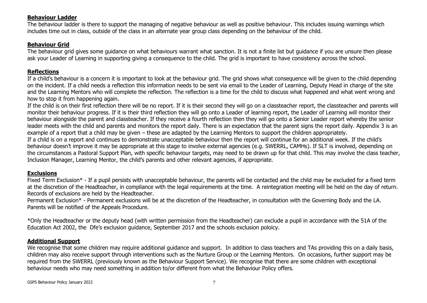#### **Behaviour Ladder**

The behaviour ladder is there to support the managing of negative behaviour as well as positive behaviour. This includes issuing warnings which includes time out in class, outside of the class in an alternate year group class depending on the behaviour of the child.

#### **Behaviour Grid**

The behaviour grid gives some guidance on what behaviours warrant what sanction. It is not a finite list but guidance if you are unsure then please ask your Leader of Learning in supporting giving a consequence to the child. The grid is important to have consistency across the school.

#### **Reflections**

If a child's behaviour is a concern it is important to look at the behaviour grid. The grid shows what consequence will be given to the child depending on the incident. If a child needs a reflection this information needs to be sent via email to the Leader of Learning, Deputy Head in charge of the site and the Learning Mentors who will complete the reflection. The reflection is a time for the child to discuss what happened and what went wrong and how to stop it from happening again.

If the child is on their first reflection there will be no report. If it is their second they will go on a classteacher report, the classteacher and parents will monitor their behaviour progress. If it is their third reflection they will go onto a Leader of learning report, the Leader of Learning will monitor their behaviour alongside the parent and classteacher. If they receive a fourth reflection then they will go onto a Senior Leader report whereby the senior leader meets with the child and parents and monitors the report daily. There is an expectation that the parent signs the report daily. Appendix 3 is an example of a report that a child may be given – these are adapted by the Learning Mentors to support the children appropriately.

If a child is on a report and continues to demonstrate unacceptable behaviour then the report will continue for an additional week. If the child's behaviour doesn't improve it may be appropriate at this stage to involve external agencies (e.g. SWERRL, CAMHs). If SLT is involved, depending on the circumstances a Pastoral Support Plan, with specific behaviour targets, may need to be drawn up for that child. This may involve the class teacher, Inclusion Manager, Learning Mentor, the child's parents and other relevant agencies, if appropriate.

#### **Exclusions**

Fixed Term Exclusion\* - If a pupil persists with unacceptable behaviour, the parents will be contacted and the child may be excluded for a fixed term at the discretion of the Headteacher, in compliance with the legal requirements at the time. A reintegration meeting will be held on the day of return. Records of exclusions are held by the Headteacher.

Permanent Exclusion\* - Permanent exclusions will be at the discretion of the Headteacher, in consultation with the Governing Body and the LA. Parents will be notified of the Appeals Procedure.

\*Only the Headteacher or the deputy head (with written permission from the Headteacher) can exclude a pupil in accordance with the 51A of the Education Act 2002, the Dfe's exclusion guidance, September 2017 and the schools exclusion poloicy.

#### **Additional Support**

We recognise that some children may require additional guidance and support. In addition to class teachers and TAs providing this on a daily basis, children may also receive support through interventions such as the Nurture Group or the Learning Mentors. On occasions, further support may be required from the SWERRL (previously known as the Behaviour Support Service). We recognise that there are some children with exceptional behaviour needs who may need something in addition to/or different from what the Behaviour Policy offers.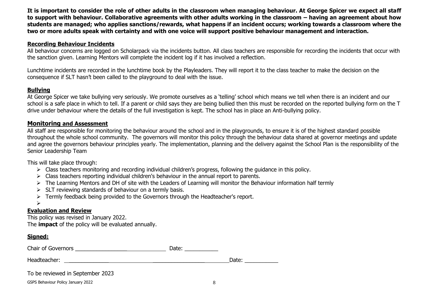**It is important to consider the role of other adults in the classroom when managing behaviour. At George Spicer we expect all staff to support with behaviour. Collaborative agreements with other adults working in the classroom – having an agreement about how students are managed; who applies sanctions/rewards, what happens if an incident occurs; working towards a classroom where the two or more adults speak with certainty and with one voice will support positive behaviour management and interaction.**

#### **Recording Behaviour Incidents**

All behaviour concerns are logged on Scholarpack via the incidents button. All class teachers are responsible for recording the incidents that occur with the sanction given. Learning Mentors will complete the incident log if it has involved a reflection.

Lunchtime incidents are recorded in the lunchtime book by the Playleaders. They will report it to the class teacher to make the decision on the consequence if SLT hasn't been called to the playground to deal with the issue.

#### **Bullying**

At George Spicer we take bullying very seriously. We promote ourselves as a 'telling' school which means we tell when there is an incident and our school is a safe place in which to tell. If a parent or child says they are being bullied then this must be recorded on the reported bullying form on the T drive under behaviour where the details of the full investigation is kept. The school has in place an Anti-bullying policy.

#### **Monitoring and Assessment**

All staff are responsible for monitoring the behaviour around the school and in the playgrounds, to ensure it is of the highest standard possible throughout the whole school community. The governors will monitor this policy through the behaviour data shared at governor meetings and update and agree the governors behaviour principles yearly. The implementation, planning and the delivery against the School Plan is the responsibility of the Senior Leadership Team

This will take place through:

- $\triangleright$  Class teachers monitoring and recording individual children's progress, following the guidance in this policy.
- $\triangleright$  Class teachers reporting individual children's behaviour in the annual report to parents.
- $\triangleright$  The Learning Mentors and DH of site with the Leaders of Learning will monitor the Behaviour information half termly
- SLT reviewing standards of behaviour on a termly basis.
- $\triangleright$  Termly feedback being provided to the Governors through the Headteacher's report.

#### $\blacktriangleright$

#### **Evaluation and Review**

This policy was revised in January 2022. The **impact** of the policy will be evaluated annually.

#### **Signed:**

| Chair of Governors               | Date: |       |
|----------------------------------|-------|-------|
| Headteacher:                     |       | Date: |
| To be reviewed in September 2023 |       |       |

GSPS Behaviour Policy January 2022 8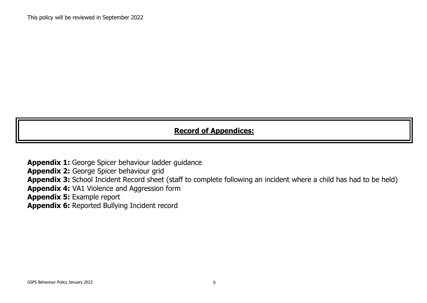### **Record of Appendices:**

**Appendix 1:** George Spicer behaviour ladder guidance **Appendix 2:** George Spicer behaviour grid **Appendix 3:** School Incident Record sheet (staff to complete following an incident where a child has had to be held) **Appendix 4:** VA1 Violence and Aggression form **Appendix 5:** Example report **Appendix 6:** Reported Bullying Incident record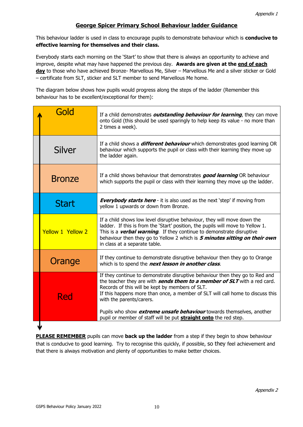#### **George Spicer Primary School Behaviour ladder Guidance**

This behaviour ladder is used in class to encourage pupils to demonstrate behaviour which is **conducive to effective learning for themselves and their class.**

Everybody starts each morning on the 'Start' to show that there is always an opportunity to achieve and improve, despite what may have happened the previous day. **Awards are given at the end of each day** to those who have achieved Bronze- Marvellous Me, Silver – Marvellous Me and a silver sticker or Gold – certificate from SLT, sticker and SLT member to send Marvellous Me home.

The diagram below shows how pupils would progress along the steps of the ladder (Remember this behaviour has to be excellent/exceptional for them):

| Gold                     | If a child demonstrates <b>outstanding behaviour for learning</b> , they can move<br>onto Gold (this should be used sparingly to help keep its value - no more than<br>2 times a week).                                                                                                                                                                                                                                                                                             |
|--------------------------|-------------------------------------------------------------------------------------------------------------------------------------------------------------------------------------------------------------------------------------------------------------------------------------------------------------------------------------------------------------------------------------------------------------------------------------------------------------------------------------|
| <b>Silver</b>            | If a child shows a <i>different behaviour</i> which demonstrates good learning OR<br>behaviour which supports the pupil or class with their learning they move up<br>the ladder again.                                                                                                                                                                                                                                                                                              |
| <b>Bronze</b>            | If a child shows behaviour that demonstrates good learning OR behaviour<br>which supports the pupil or class with their learning they move up the ladder.                                                                                                                                                                                                                                                                                                                           |
| <b>Start</b>             | <b>Everybody starts here</b> - it is also used as the next 'step' if moving from<br>yellow 1 upwards or down from Bronze.                                                                                                                                                                                                                                                                                                                                                           |
| <b>Yellow 1 Yellow 2</b> | If a child shows low level disruptive behaviour, they will move down the<br>ladder. If this is from the 'Start' position, the pupils will move to Yellow 1.<br>This is a <b>verbal warning</b> . If they continue to demonstrate disruptive<br>behaviour then they go to Yellow 2 which is 5 minutes sitting on their own<br>in class at a separate table.                                                                                                                          |
| Orange                   | If they continue to demonstrate disruptive behaviour then they go to Orange<br>which is to spend the next lesson in another class.                                                                                                                                                                                                                                                                                                                                                  |
| Red                      | If they continue to demonstrate disruptive behaviour then they go to Red and<br>the teacher they are with <b>sends them to a member of SLT</b> with a red card.<br>Records of this will be kept by members of SLT.<br>If this happens more than once, a member of SLT will call home to discuss this<br>with the parents/carers.<br>Pupils who show extreme unsafe behaviour towards themselves, another<br>pupil or member of staff will be put <b>straight onto</b> the red step. |
|                          |                                                                                                                                                                                                                                                                                                                                                                                                                                                                                     |

**PLEASE REMEMBER** pupils can move **back up the ladder** from a step if they begin to show behaviour that is conducive to good learning. Try to recognise this quickly, if possible, so they feel achievement and that there is always motivation and plenty of opportunities to make better choices.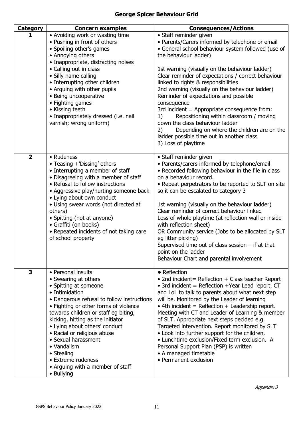### **George Spicer Behaviour Grid**

| <b>Category</b>         | <b>Concern examples</b>                                                                                                                                                                                                                                                                                                                                                                                                                               | <b>Consequences/Actions</b>                                                                                                                                                                                                                                                                                                                                                                                                                                                                                                                                                                                                                                          |  |
|-------------------------|-------------------------------------------------------------------------------------------------------------------------------------------------------------------------------------------------------------------------------------------------------------------------------------------------------------------------------------------------------------------------------------------------------------------------------------------------------|----------------------------------------------------------------------------------------------------------------------------------------------------------------------------------------------------------------------------------------------------------------------------------------------------------------------------------------------------------------------------------------------------------------------------------------------------------------------------------------------------------------------------------------------------------------------------------------------------------------------------------------------------------------------|--|
| 1                       | • Avoiding work or wasting time<br>• Pushing in front of others<br>• Spoiling other's games<br>• Annoying others<br>• Inappropriate, distracting noises<br>• Calling out in class<br>· Silly name calling<br>• Interrupting other children<br>• Arguing with other pupils<br>• Being uncooperative<br>• Fighting games<br>• Kissing teeth<br>· Inappropriately dressed (i.e. nail<br>varnish; wrong uniform)                                          | • Staff reminder given<br>• Parents/Carers informed by telephone or email<br>• General school behaviour system followed (use of<br>the behaviour ladder)<br>1st warning (visually on the behaviour ladder)<br>Clear reminder of expectations / correct behaviour<br>linked to rights & responsibilities<br>2nd warning (visually on the behaviour ladder)<br>Reminder of expectations and possible<br>consequence<br>3rd incident $=$ Appropriate consequence from:<br>Repositioning within classroom / moving<br>1)<br>down the class behaviour ladder<br>Depending on where the children are on the<br>2)<br>ladder possible time out in another class             |  |
| $\overline{\mathbf{2}}$ | • Rudeness<br>• Teasing +'Dissing' others<br>• Interrupting a member of staff<br>• Disagreeing with a member of staff<br>• Refusal to follow instructions<br>• Aggressive play/hurting someone back<br>• Lying about own conduct<br>· Using swear words (not directed at<br>others)<br>• Spitting (not at anyone)<br>• Graffiti (on books)<br>• Repeated incidents of not taking care<br>of school property                                           | 3) Loss of playtime<br>• Staff reminder given<br>• Parents/carers informed by telephone/email<br>• Recorded following behaviour in the file in class<br>on a behaviour record.<br>• Repeat perpetrators to be reported to SLT on site<br>so it can be escalated to category 3<br>1st warning (visually on the behaviour ladder)<br>Clear reminder of correct behaviour linked<br>Loss of whole playtime (at reflection wall or inside<br>with reflection sheet)<br>OR Community service (Jobs to be allocated by SLT<br>eg litter picking)<br>Supervised time out of class session $-$ if at that<br>point on the ladder<br>Behaviour Chart and parental involvement |  |
| 3                       | • Personal insults<br>• Swearing at others<br>• Spitting at someone<br>• Intimidation<br>• Dangerous refusal to follow instructions<br>• Fighting or other forms of violence<br>towards children or staff eg biting,<br>kicking, hitting as the initiator<br>• Lying about others' conduct<br>• Racial or religious abuse<br>• Sexual harassment<br>• Vandalism<br>• Stealing<br>• Extreme rudeness<br>• Arguing with a member of staff<br>• Bullying | • Reflection<br>• 2nd incident= Reflection + Class teacher Report<br>• 3rd incident = Reflection +Year Lead report. $CT$<br>and LoL to talk to parents about what next step<br>will be. Monitored by the Leader of learning<br>$\bullet$ 4th incident = Reflection + Leadership report.<br>Meeting with CT and Leader of Learning & member<br>of SLT. Appropriate next steps decided e.g.<br>Targeted intervention. Report monitored by SLT<br>• Look into further support for the children.<br>• Lunchtime exclusion/Fixed term exclusion. A<br>Personal Support Plan (PSP) is written<br>• A managed timetable<br>• Permanent exclusion                            |  |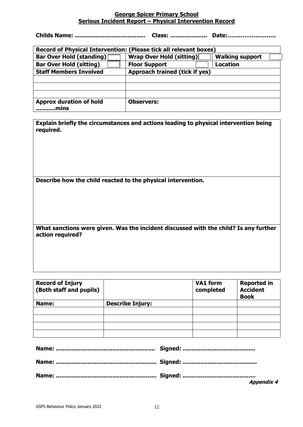#### **George Spicer Primary School Serious Incident Report – Physical Intervention Record**

**Childs Name: ........................................ Class: ..................... Date:……………………..**

| Record of Physical Intervention: (Please tick all relevant boxes)                            |                                |                 |  |  |  |
|----------------------------------------------------------------------------------------------|--------------------------------|-----------------|--|--|--|
| <b>Bar Over Hold (standing)</b><br><b>Wrap Over Hold (sitting)</b><br><b>Walking support</b> |                                |                 |  |  |  |
| <b>Bar Over Hold (sitting)</b>                                                               | <b>Floor Support</b>           | <b>Location</b> |  |  |  |
| <b>Staff Members Involved</b>                                                                | Approach trained (tick if yes) |                 |  |  |  |
|                                                                                              |                                |                 |  |  |  |
|                                                                                              |                                |                 |  |  |  |
|                                                                                              |                                |                 |  |  |  |
| <b>Approx duration of hold</b>                                                               | <b>Observers:</b>              |                 |  |  |  |
| mins.                                                                                        |                                |                 |  |  |  |

| Explain briefly the circumstances and actions leading to physical intervention being |  |
|--------------------------------------------------------------------------------------|--|
| required.                                                                            |  |

**Describe how the child reacted to the physical intervention.**

**What sanctions were given. Was the incident discussed with the child? Is any further action required?**

| <b>Record of Injury</b><br>(Both staff and pupils) |                         | VA1 form<br>completed | <b>Reported in</b><br><b>Accident</b><br><b>Book</b> |
|----------------------------------------------------|-------------------------|-----------------------|------------------------------------------------------|
| Name:                                              | <b>Describe Injury:</b> |                       |                                                      |
|                                                    |                         |                       |                                                      |
|                                                    |                         |                       |                                                      |
|                                                    |                         |                       |                                                      |
|                                                    |                         |                       |                                                      |

| <b>Appendix 4</b> |
|-------------------|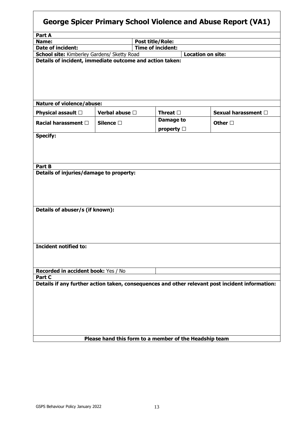| <b>George Spicer Primary School Violence and Abuse Report (VA1)</b>                                                                                       |                   |                          |                          |                          |  |  |
|-----------------------------------------------------------------------------------------------------------------------------------------------------------|-------------------|--------------------------|--------------------------|--------------------------|--|--|
| Part A                                                                                                                                                    |                   |                          |                          |                          |  |  |
| Name:                                                                                                                                                     |                   | <b>Post title/Role:</b>  |                          |                          |  |  |
| <b>Date of incident:</b>                                                                                                                                  |                   | <b>Time of incident:</b> |                          |                          |  |  |
| School site: Kimberley Gardens/ Sketty Road                                                                                                               |                   |                          | <b>Location on site:</b> |                          |  |  |
| Details of incident, immediate outcome and action taken:                                                                                                  |                   |                          |                          |                          |  |  |
| <b>Nature of violence/abuse:</b>                                                                                                                          |                   |                          |                          |                          |  |  |
| Physical assault □                                                                                                                                        | Verbal abuse □    | Threat $\Box$            |                          | Sexual harassment $\Box$ |  |  |
|                                                                                                                                                           |                   | Damage to                |                          |                          |  |  |
| Racial harassment $\square$                                                                                                                               | Silence $\square$ | property $\Box$          |                          | Other $\square$          |  |  |
| Part B<br>Details of injuries/damage to property:<br>Details of abuser/s (if known):                                                                      |                   |                          |                          |                          |  |  |
| <b>Incident notified to:</b>                                                                                                                              |                   |                          |                          |                          |  |  |
| Recorded in accident book: Yes / No                                                                                                                       |                   |                          |                          |                          |  |  |
| Part C                                                                                                                                                    |                   |                          |                          |                          |  |  |
| Details if any further action taken, consequences and other relevant post incident information:<br>Please hand this form to a member of the Headship team |                   |                          |                          |                          |  |  |
|                                                                                                                                                           |                   |                          |                          |                          |  |  |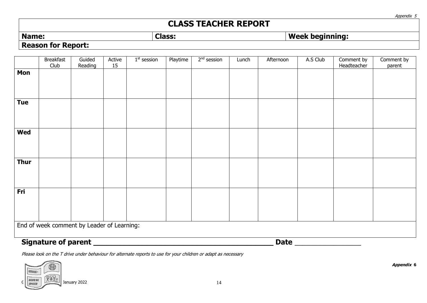## **CLASS TEACHER REPORT**

Appendix 5

### **Name: Class: Week beginning: Week beginning: Reason for Report:**

|                                            | <b>Breakfast</b><br>Club   | Guided<br>Reading | Active<br>15 | $1st$ session | Playtime | $2nd$ session | Lunch | Afternoon   | A.S Club | Comment by<br>Headteacher | Comment by<br>parent |
|--------------------------------------------|----------------------------|-------------------|--------------|---------------|----------|---------------|-------|-------------|----------|---------------------------|----------------------|
| Mon                                        |                            |                   |              |               |          |               |       |             |          |                           |                      |
|                                            |                            |                   |              |               |          |               |       |             |          |                           |                      |
| <b>Tue</b>                                 |                            |                   |              |               |          |               |       |             |          |                           |                      |
| Wed                                        |                            |                   |              |               |          |               |       |             |          |                           |                      |
| <b>Thur</b>                                |                            |                   |              |               |          |               |       |             |          |                           |                      |
| Fri                                        |                            |                   |              |               |          |               |       |             |          |                           |                      |
| End of week comment by Leader of Learning: |                            |                   |              |               |          |               |       |             |          |                           |                      |
|                                            | <b>Signature of parent</b> |                   |              |               |          |               |       | <b>Date</b> |          |                           |                      |

Please look on the T drive under behaviour for alternate reports to use for your children or adapt as necessary



**Appendix 6**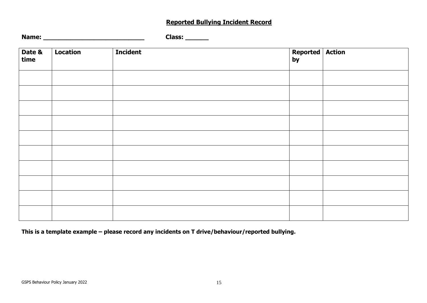### **Reported Bullying Incident Record**

| Name: | Llass: . |
|-------|----------|
|-------|----------|

| Date &<br>time | Location | <b>Incident</b> | Reported Action |  |
|----------------|----------|-----------------|-----------------|--|
|                |          |                 |                 |  |
|                |          |                 |                 |  |
|                |          |                 |                 |  |
|                |          |                 |                 |  |
|                |          |                 |                 |  |
|                |          |                 |                 |  |
|                |          |                 |                 |  |
|                |          |                 |                 |  |
|                |          |                 |                 |  |
|                |          |                 |                 |  |

**This is a template example – please record any incidents on T drive/behaviour/reported bullying.**